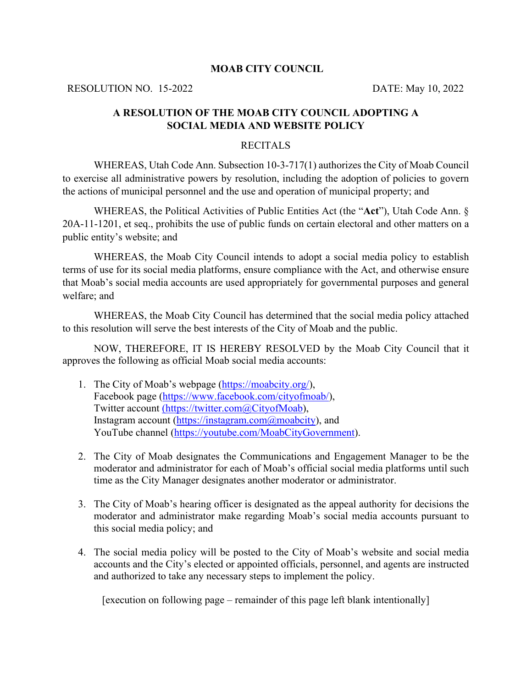### **MOAB CITY COUNCIL**

RESOLUTION NO. 15-2022 DATE: May 10, 2022

# **A RESOLUTION OF THE MOAB CITY COUNCIL ADOPTING A SOCIAL MEDIA AND WEBSITE POLICY**

## RECITALS

WHEREAS, Utah Code Ann. Subsection 10-3-717(1) authorizes the City of Moab Council to exercise all administrative powers by resolution, including the adoption of policies to govern the actions of municipal personnel and the use and operation of municipal property; and

WHEREAS, the Political Activities of Public Entities Act (the "**Act**"), Utah Code Ann. § 20A-11-1201, et seq., prohibits the use of public funds on certain electoral and other matters on a public entity's website; and

 WHEREAS, the Moab City Council intends to adopt a social media policy to establish terms of use for its social media platforms, ensure compliance with the Act, and otherwise ensure that Moab's social media accounts are used appropriately for governmental purposes and general welfare; and

WHEREAS, the Moab City Council has determined that the social media policy attached to this resolution will serve the best interests of the City of Moab and the public.

NOW, THEREFORE, IT IS HEREBY RESOLVED by the Moab City Council that it approves the following as official Moab social media accounts:

- 1. The City of Moab's webpage [\(https://moabcity.org/\)](https://moabcity.org/), Facebook page [\(https://www.facebook.com/cityofmoab/\)](https://www.facebook.com/cityofmoab/), Twitter account (https://twitter.com@CityofMoab), Instagram account [\(https://instagram.com@moabcity\)](https://instagram.com@moabcity), and YouTube channel [\(https://youtube.com/MoabCityGovernment\)](https://youtube.com/MoabCityGovernment).
- 2. The City of Moab designates the Communications and Engagement Manager to be the moderator and administrator for each of Moab's official social media platforms until such time as the City Manager designates another moderator or administrator.
- 3. The City of Moab's hearing officer is designated as the appeal authority for decisions the moderator and administrator make regarding Moab's social media accounts pursuant to this social media policy; and
- 4. The social media policy will be posted to the City of Moab's website and social media accounts and the City's elected or appointed officials, personnel, and agents are instructed and authorized to take any necessary steps to implement the policy.

[execution on following page – remainder of this page left blank intentionally]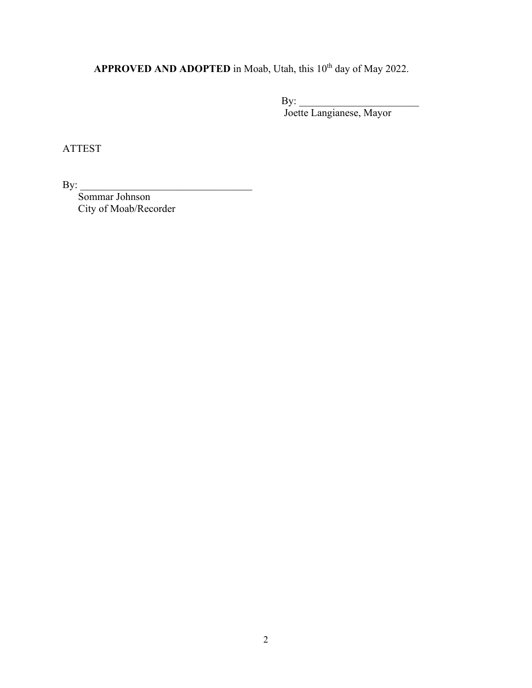APPROVED AND ADOPTED in Moab, Utah, this 10<sup>th</sup> day of May 2022.

 $\mathbf{B} \mathbf{y}$ : Joette Langianese, Mayor

ATTEST

By: \_\_\_\_\_\_\_\_\_\_\_\_\_\_\_\_\_\_\_\_\_\_\_\_\_\_\_\_\_\_\_\_\_

Sommar Johnson City of Moab/Recorder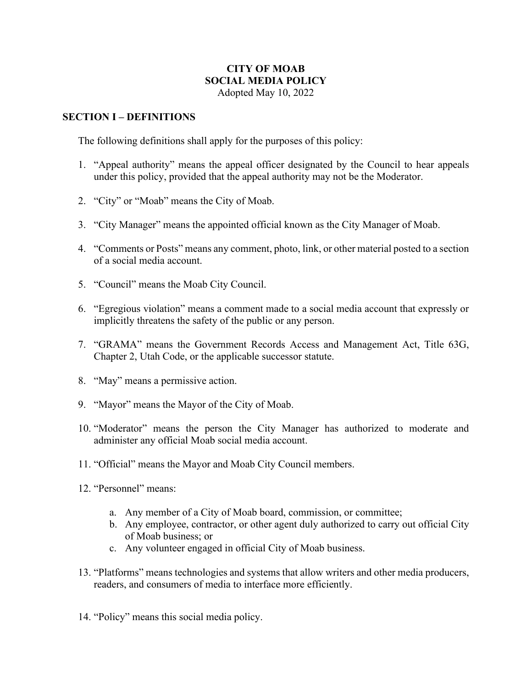## **CITY OF MOAB SOCIAL MEDIA POLICY** Adopted May 10, 2022

# **SECTION I – DEFINITIONS**

The following definitions shall apply for the purposes of this policy:

- 1. "Appeal authority" means the appeal officer designated by the Council to hear appeals under this policy, provided that the appeal authority may not be the Moderator.
- 2. "City" or "Moab" means the City of Moab.
- 3. "City Manager" means the appointed official known as the City Manager of Moab.
- 4. "Comments or Posts" means any comment, photo, link, or other material posted to a section of a social media account.
- 5. "Council" means the Moab City Council.
- 6. "Egregious violation" means a comment made to a social media account that expressly or implicitly threatens the safety of the public or any person.
- 7. "GRAMA" means the Government Records Access and Management Act, Title 63G, Chapter 2, Utah Code, or the applicable successor statute.
- 8. "May" means a permissive action.
- 9. "Mayor" means the Mayor of the City of Moab.
- 10. "Moderator" means the person the City Manager has authorized to moderate and administer any official Moab social media account.
- 11. "Official" means the Mayor and Moab City Council members.
- 12. "Personnel" means:
	- a. Any member of a City of Moab board, commission, or committee;
	- b. Any employee, contractor, or other agent duly authorized to carry out official City of Moab business; or
	- c. Any volunteer engaged in official City of Moab business.
- 13. "Platforms" means technologies and systems that allow writers and other media producers, readers, and consumers of media to interface more efficiently.
- 14. "Policy" means this social media policy.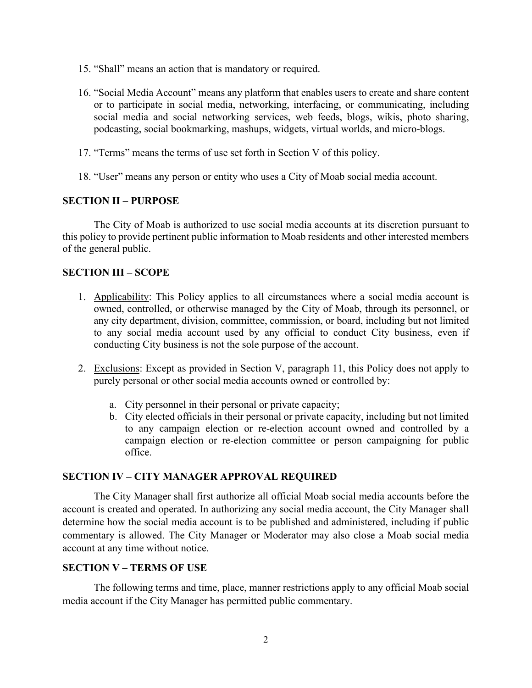- 15. "Shall" means an action that is mandatory or required.
- 16. "Social Media Account" means any platform that enables users to create and share content or to participate in social media, networking, interfacing, or communicating, including social media and social networking services, web feeds, blogs, wikis, photo sharing, podcasting, social bookmarking, mashups, widgets, virtual worlds, and micro-blogs.
- 17. "Terms" means the terms of use set forth in Section V of this policy.
- 18. "User" means any person or entity who uses a City of Moab social media account.

## **SECTION II – PURPOSE**

The City of Moab is authorized to use social media accounts at its discretion pursuant to this policy to provide pertinent public information to Moab residents and other interested members of the general public.

### **SECTION III – SCOPE**

- 1. Applicability: This Policy applies to all circumstances where a social media account is owned, controlled, or otherwise managed by the City of Moab, through its personnel, or any city department, division, committee, commission, or board, including but not limited to any social media account used by any official to conduct City business, even if conducting City business is not the sole purpose of the account.
- 2. Exclusions: Except as provided in Section V, paragraph 11, this Policy does not apply to purely personal or other social media accounts owned or controlled by:
	- a. City personnel in their personal or private capacity;
	- b. City elected officials in their personal or private capacity, including but not limited to any campaign election or re-election account owned and controlled by a campaign election or re-election committee or person campaigning for public office.

#### **SECTION IV – CITY MANAGER APPROVAL REQUIRED**

The City Manager shall first authorize all official Moab social media accounts before the account is created and operated. In authorizing any social media account, the City Manager shall determine how the social media account is to be published and administered, including if public commentary is allowed. The City Manager or Moderator may also close a Moab social media account at any time without notice.

#### **SECTION V – TERMS OF USE**

The following terms and time, place, manner restrictions apply to any official Moab social media account if the City Manager has permitted public commentary.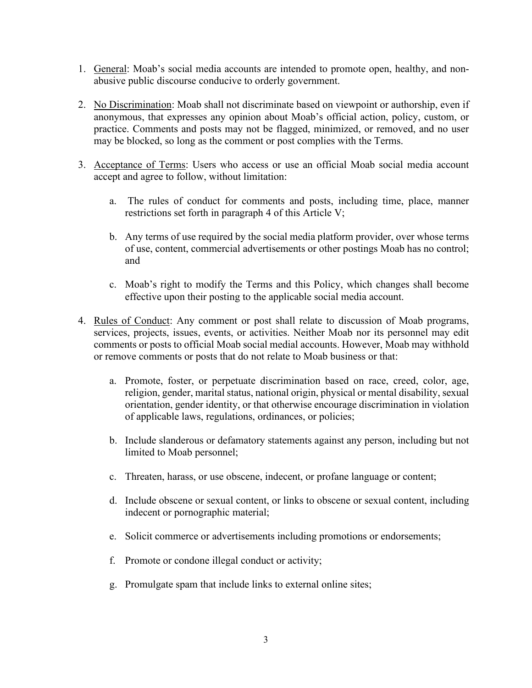- 1. General: Moab's social media accounts are intended to promote open, healthy, and nonabusive public discourse conducive to orderly government.
- 2. No Discrimination: Moab shall not discriminate based on viewpoint or authorship, even if anonymous, that expresses any opinion about Moab's official action, policy, custom, or practice. Comments and posts may not be flagged, minimized, or removed, and no user may be blocked, so long as the comment or post complies with the Terms.
- 3. Acceptance of Terms: Users who access or use an official Moab social media account accept and agree to follow, without limitation:
	- a. The rules of conduct for comments and posts, including time, place, manner restrictions set forth in paragraph 4 of this Article V;
	- b. Any terms of use required by the social media platform provider, over whose terms of use, content, commercial advertisements or other postings Moab has no control; and
	- c. Moab's right to modify the Terms and this Policy, which changes shall become effective upon their posting to the applicable social media account.
- 4. Rules of Conduct: Any comment or post shall relate to discussion of Moab programs, services, projects, issues, events, or activities. Neither Moab nor its personnel may edit comments or posts to official Moab social medial accounts. However, Moab may withhold or remove comments or posts that do not relate to Moab business or that:
	- a. Promote, foster, or perpetuate discrimination based on race, creed, color, age, religion, gender, marital status, national origin, physical or mental disability, sexual orientation, gender identity, or that otherwise encourage discrimination in violation of applicable laws, regulations, ordinances, or policies;
	- b. Include slanderous or defamatory statements against any person, including but not limited to Moab personnel;
	- c. Threaten, harass, or use obscene, indecent, or profane language or content;
	- d. Include obscene or sexual content, or links to obscene or sexual content, including indecent or pornographic material;
	- e. Solicit commerce or advertisements including promotions or endorsements;
	- f. Promote or condone illegal conduct or activity;
	- g. Promulgate spam that include links to external online sites;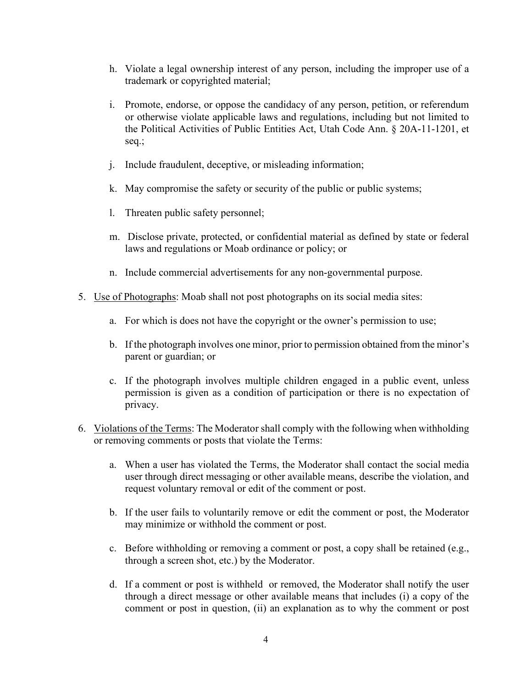- h. Violate a legal ownership interest of any person, including the improper use of a trademark or copyrighted material;
- i. Promote, endorse, or oppose the candidacy of any person, petition, or referendum or otherwise violate applicable laws and regulations, including but not limited to the Political Activities of Public Entities Act, Utah Code Ann. § 20A-11-1201, et seq.;
- j. Include fraudulent, deceptive, or misleading information;
- k. May compromise the safety or security of the public or public systems;
- l. Threaten public safety personnel;
- m. Disclose private, protected, or confidential material as defined by state or federal laws and regulations or Moab ordinance or policy; or
- n. Include commercial advertisements for any non-governmental purpose.
- 5. Use of Photographs: Moab shall not post photographs on its social media sites:
	- a. For which is does not have the copyright or the owner's permission to use;
	- b. If the photograph involves one minor, prior to permission obtained from the minor's parent or guardian; or
	- c. If the photograph involves multiple children engaged in a public event, unless permission is given as a condition of participation or there is no expectation of privacy.
- 6. Violations of the Terms: The Moderator shall comply with the following when withholding or removing comments or posts that violate the Terms:
	- a. When a user has violated the Terms, the Moderator shall contact the social media user through direct messaging or other available means, describe the violation, and request voluntary removal or edit of the comment or post.
	- b. If the user fails to voluntarily remove or edit the comment or post, the Moderator may minimize or withhold the comment or post.
	- c. Before withholding or removing a comment or post, a copy shall be retained (e.g., through a screen shot, etc.) by the Moderator.
	- d. If a comment or post is withheld or removed, the Moderator shall notify the user through a direct message or other available means that includes (i) a copy of the comment or post in question, (ii) an explanation as to why the comment or post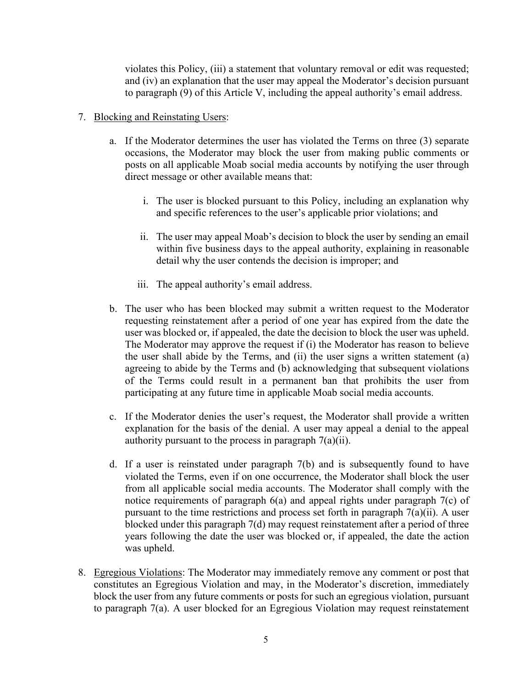violates this Policy, (iii) a statement that voluntary removal or edit was requested; and (iv) an explanation that the user may appeal the Moderator's decision pursuant to paragraph (9) of this Article V, including the appeal authority's email address.

## 7. Blocking and Reinstating Users:

- a. If the Moderator determines the user has violated the Terms on three (3) separate occasions, the Moderator may block the user from making public comments or posts on all applicable Moab social media accounts by notifying the user through direct message or other available means that:
	- i. The user is blocked pursuant to this Policy, including an explanation why and specific references to the user's applicable prior violations; and
	- ii. The user may appeal Moab's decision to block the user by sending an email within five business days to the appeal authority, explaining in reasonable detail why the user contends the decision is improper; and
	- iii. The appeal authority's email address.
- b. The user who has been blocked may submit a written request to the Moderator requesting reinstatement after a period of one year has expired from the date the user was blocked or, if appealed, the date the decision to block the user was upheld. The Moderator may approve the request if (i) the Moderator has reason to believe the user shall abide by the Terms, and (ii) the user signs a written statement (a) agreeing to abide by the Terms and (b) acknowledging that subsequent violations of the Terms could result in a permanent ban that prohibits the user from participating at any future time in applicable Moab social media accounts.
- c. If the Moderator denies the user's request, the Moderator shall provide a written explanation for the basis of the denial. A user may appeal a denial to the appeal authority pursuant to the process in paragraph 7(a)(ii).
- d. If a user is reinstated under paragraph 7(b) and is subsequently found to have violated the Terms, even if on one occurrence, the Moderator shall block the user from all applicable social media accounts. The Moderator shall comply with the notice requirements of paragraph 6(a) and appeal rights under paragraph 7(c) of pursuant to the time restrictions and process set forth in paragraph 7(a)(ii). A user blocked under this paragraph 7(d) may request reinstatement after a period of three years following the date the user was blocked or, if appealed, the date the action was upheld.
- 8. Egregious Violations: The Moderator may immediately remove any comment or post that constitutes an Egregious Violation and may, in the Moderator's discretion, immediately block the user from any future comments or posts for such an egregious violation, pursuant to paragraph 7(a). A user blocked for an Egregious Violation may request reinstatement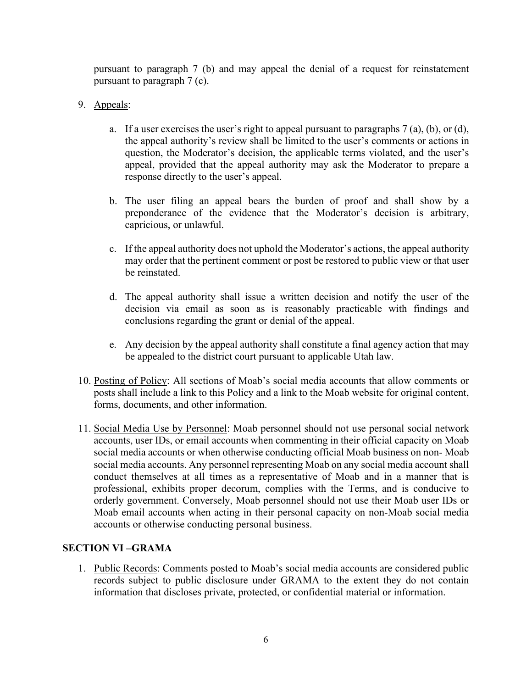pursuant to paragraph 7 (b) and may appeal the denial of a request for reinstatement pursuant to paragraph 7 (c).

- 9. Appeals:
	- a. If a user exercises the user's right to appeal pursuant to paragraphs  $7$  (a), (b), or (d), the appeal authority's review shall be limited to the user's comments or actions in question, the Moderator's decision, the applicable terms violated, and the user's appeal, provided that the appeal authority may ask the Moderator to prepare a response directly to the user's appeal.
	- b. The user filing an appeal bears the burden of proof and shall show by a preponderance of the evidence that the Moderator's decision is arbitrary, capricious, or unlawful.
	- c. If the appeal authority does not uphold the Moderator's actions, the appeal authority may order that the pertinent comment or post be restored to public view or that user be reinstated.
	- d. The appeal authority shall issue a written decision and notify the user of the decision via email as soon as is reasonably practicable with findings and conclusions regarding the grant or denial of the appeal.
	- e. Any decision by the appeal authority shall constitute a final agency action that may be appealed to the district court pursuant to applicable Utah law.
- 10. Posting of Policy: All sections of Moab's social media accounts that allow comments or posts shall include a link to this Policy and a link to the Moab website for original content, forms, documents, and other information.
- 11. Social Media Use by Personnel: Moab personnel should not use personal social network accounts, user IDs, or email accounts when commenting in their official capacity on Moab social media accounts or when otherwise conducting official Moab business on non- Moab social media accounts. Any personnel representing Moab on any social media account shall conduct themselves at all times as a representative of Moab and in a manner that is professional, exhibits proper decorum, complies with the Terms, and is conducive to orderly government. Conversely, Moab personnel should not use their Moab user IDs or Moab email accounts when acting in their personal capacity on non-Moab social media accounts or otherwise conducting personal business.

# **SECTION VI –GRAMA**

1. Public Records: Comments posted to Moab's social media accounts are considered public records subject to public disclosure under GRAMA to the extent they do not contain information that discloses private, protected, or confidential material or information.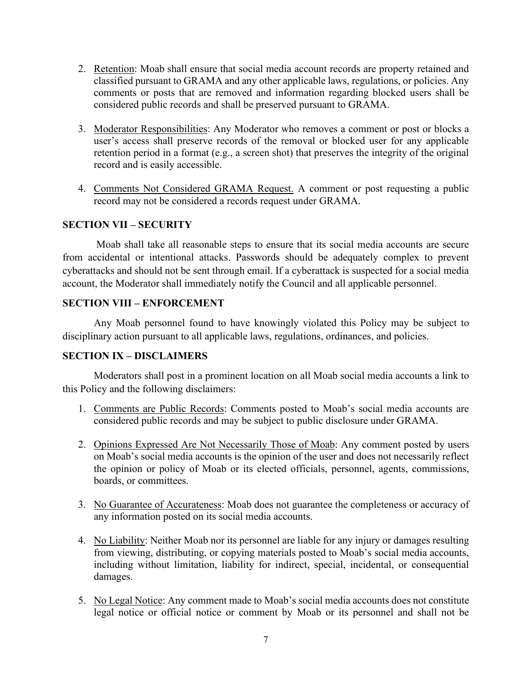- 2. Retention: Moab shall ensure that social media account records are property retained and classified pursuant to GRAMA and any other applicable laws, regulations, or policies. Any comments or posts that are removed and information regarding blocked users shall be considered public records and shall be preserved pursuant to GRAMA.
- 3. Moderator Responsibilities: Any Moderator who removes a comment or post or blocks a user's access shall preserve records of the removal or blocked user for any applicable retention period in a format (e.g., a screen shot) that preserves the integrity of the original record and is easily accessible.
- 4. Comments Not Considered GRAMA Request. A comment or post requesting a public record may not be considered a records request under GRAMA.

# **SECTION VII – SECURITY**

Moab shall take all reasonable steps to ensure that its social media accounts are secure from accidental or intentional attacks. Passwords should be adequately complex to prevent cyberattacks and should not be sent through email. If a cyberattack is suspected for a social media account, the Moderator shall immediately notify the Council and all applicable personnel.

## **SECTION VIII – ENFORCEMENT**

Any Moab personnel found to have knowingly violated this Policy may be subject to disciplinary action pursuant to all applicable laws, regulations, ordinances, and policies.

## **SECTION IX – DISCLAIMERS**

Moderators shall post in a prominent location on all Moab social media accounts a link to this Policy and the following disclaimers:

- 1. Comments are Public Records: Comments posted to Moab's social media accounts are considered public records and may be subject to public disclosure under GRAMA.
- 2. Opinions Expressed Are Not Necessarily Those of Moab: Any comment posted by users on Moab's social media accounts is the opinion of the user and does not necessarily reflect the opinion or policy of Moab or its elected officials, personnel, agents, commissions, boards, or committees.
- 3. No Guarantee of Accurateness: Moab does not guarantee the completeness or accuracy of any information posted on its social media accounts.
- 4. No Liability: Neither Moab nor its personnel are liable for any injury or damages resulting from viewing, distributing, or copying materials posted to Moab's social media accounts, including without limitation, liability for indirect, special, incidental, or consequential damages.
- 5. No Legal Notice: Any comment made to Moab's social media accounts does not constitute legal notice or official notice or comment by Moab or its personnel and shall not be